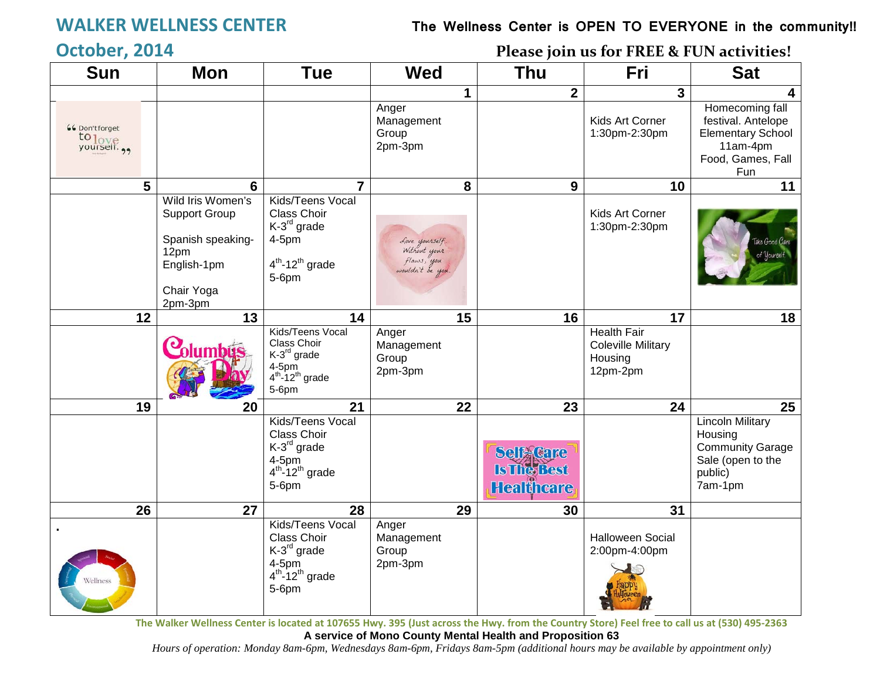## **WALKER WELLNESS CENTER The Wellness Center is OPEN TO EVERYONE in the community!!**

## **October, 2014 Please join us for FREE & FUN activities!**

| <b>Sun</b>                        | <b>Mon</b>                                                                                                     | <b>Tue</b>                                                                                                       | <b>Wed</b>                                                       | <b>Thu</b>                                                  |                         | Fri                                                                    | <b>Sat</b>                                                                                                |
|-----------------------------------|----------------------------------------------------------------------------------------------------------------|------------------------------------------------------------------------------------------------------------------|------------------------------------------------------------------|-------------------------------------------------------------|-------------------------|------------------------------------------------------------------------|-----------------------------------------------------------------------------------------------------------|
|                                   |                                                                                                                |                                                                                                                  | $\mathbf 1$                                                      |                                                             | $\overline{\mathbf{2}}$ | 3                                                                      | 4                                                                                                         |
| <b>66 Don't forget</b><br>to love |                                                                                                                |                                                                                                                  | Anger<br>Management<br>Group<br>2pm-3pm                          |                                                             |                         | Kids Art Corner<br>1:30pm-2:30pm                                       | Homecoming fall<br>festival. Antelope<br><b>Elementary School</b><br>11am-4pm<br>Food, Games, Fall<br>Fun |
| 5                                 | $6\phantom{1}6$                                                                                                | $\overline{7}$                                                                                                   | 8                                                                |                                                             | 9                       | 10                                                                     | 11                                                                                                        |
|                                   | Wild Iris Women's<br><b>Support Group</b><br>Spanish speaking-<br>12pm<br>English-1pm<br>Chair Yoga<br>2pm-3pm | Kids/Teens Vocal<br>Class Choir<br>$K-3^{rd}$ grade<br>4-5pm<br>$4th$ -12 <sup>th</sup> grade<br>$5-6$ pm        | Love yourself.<br>Without your<br>flaws, you<br>wouldn't be you. |                                                             |                         | Kids Art Corner<br>1:30pm-2:30pm                                       |                                                                                                           |
| 12                                | 13                                                                                                             | 14                                                                                                               | 15                                                               |                                                             | 16                      | 17                                                                     | 18                                                                                                        |
|                                   |                                                                                                                | Kids/Teens Vocal<br>Class Choir<br>K-3 <sup>rd</sup> grade<br>$4-5$ pm<br>$4th - 12th$ grade<br>$5-6$ pm         | Anger<br>Management<br>Group<br>2pm-3pm                          |                                                             |                         | <b>Health Fair</b><br><b>Coleville Military</b><br>Housing<br>12pm-2pm |                                                                                                           |
| 19                                | 20                                                                                                             | 21                                                                                                               | 22                                                               |                                                             | 23                      | 24                                                                     | 25                                                                                                        |
|                                   |                                                                                                                | Kids/Teens Vocal<br>Class Choir<br>K-3 <sup>rd</sup> grade<br>$4-5$ pm<br>$4th$ -12 <sup>th</sup> grade<br>5-6pm |                                                                  | <b>Self Gare</b><br><b>Is The Best</b><br><b>Healthcare</b> |                         |                                                                        | <b>Lincoln Military</b><br>Housing<br><b>Community Garage</b><br>Sale (open to the<br>public)<br>7am-1pm  |
| 26                                | 27                                                                                                             | 28                                                                                                               | 29                                                               |                                                             | 30                      | 31                                                                     |                                                                                                           |
| Vellness                          |                                                                                                                | Kids/Teens Vocal<br>Class Choir<br>K-3 <sup>rd</sup> grade<br>$4-5$ pm<br>$4th$ -12 <sup>th</sup> grade<br>5-6pm | Anger<br>Management<br>Group<br>2pm-3pm                          |                                                             |                         | <b>Halloween Social</b><br>2:00pm-4:00pm                               |                                                                                                           |

**The Walker Wellness Center is located at 107655 Hwy. 395 (Just across the Hwy. from the Country Store) Feel free to call us at (530) 495-2363**

**A service of Mono County Mental Health and Proposition 63**

*Hours of operation: Monday 8am-6pm, Wednesdays 8am-6pm, Fridays 8am-5pm (additional hours may be available by appointment only)*